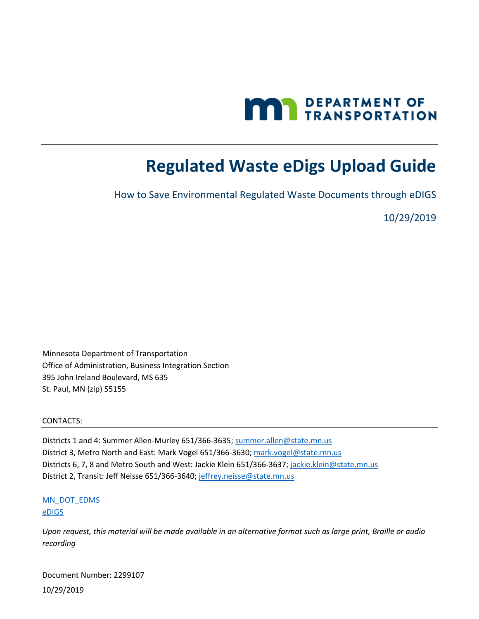

# <span id="page-0-0"></span>**Regulated Waste eDigs Upload Guide**

How to Save Environmental Regulated Waste Documents through eDIGS

10/29/2019

Minnesota Department of Transportation Office of Administration, Business Integration Section 395 John Ireland Boulevard, MS 635 St. Paul, MN (zip) 55155

#### CONTACTS:

Districts 1 and 4: Summer Allen-Murley 651/366-3635[; summer.allen@state.mn.us](mailto:summer.allen@state.mn.us) District 3, Metro North and East: Mark Vogel 651/366-3630[; mark.vogel@state.mn.us](mailto:mark.vogel@state.mn.us) Districts 6, 7, 8 and Metro South and West: Jackie Klein 651/366-3637; [jackie.klein@state.mn.us](mailto:jackie.klein@state.mn.us) District 2, Transit: Jeff Neisse 651/366-3640; [jeffrey.neisse@state.mn.us](mailto:jeffrey.neisse@state.mn.us)

[MN\\_DOT\\_EDMS](mailto:EDMS.DOT@state.mn.us?subject=Regulated%20waste%20document%20upload%20to%20eDigs%20question) [eDIGS](http://edocs/eDIGS/)

*Upon request, this material will be made available in an alternative format such as large print, Braille or audio recording*

Document Number: 2299107 10/29/2019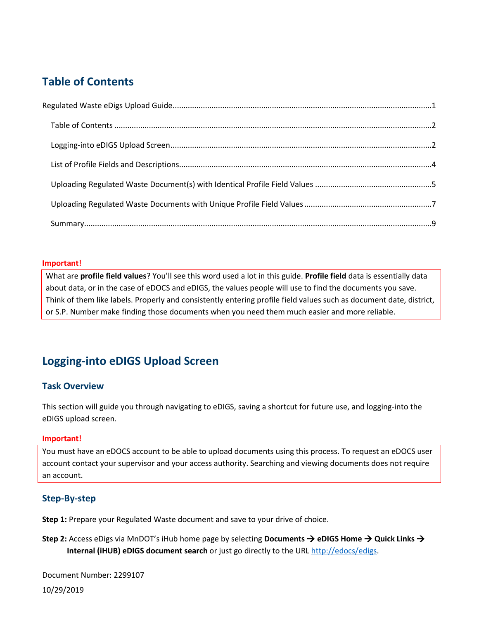## <span id="page-1-0"></span>**Table of Contents**

#### **Important!**

What are **profile field values**? You'll see this word used a lot in this guide. **Profile field** data is essentially data about data, or in the case of eDOCS and eDIGS, the values people will use to find the documents you save. Think of them like labels. Properly and consistently entering profile field values such as document date, district, or S.P. Number make finding those documents when you need them much easier and more reliable.

## <span id="page-1-1"></span>**Logging-into eDIGS Upload Screen**

## **Task Overview**

This section will guide you through navigating to eDIGS, saving a shortcut for future use, and logging-into the eDIGS upload screen.

### **Important!**

You must have an eDOCS account to be able to upload documents using this process. To request an eDOCS user account contact your supervisor and your access authority. Searching and viewing documents does not require an account.

## **Step-By-step**

**Step 1:** Prepare your Regulated Waste document and save to your drive of choice.

**Step 2:** Access eDigs via MnDOT's iHub home page by selecting **Documents → eDIGS Home** → Quick Links → **Internal (iHUB) eDIGS document search** or just go directly to the URL [http://edocs/edigs.](http://edocs/edigs)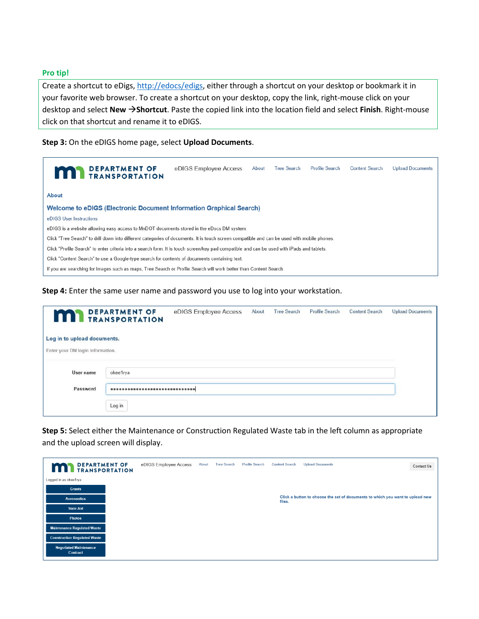#### **Pro tip!**

Create a shortcut to eDigs, [http://edocs/edigs,](http://edocs/edigs) either through a shortcut on your desktop or bookmark it in your favorite web browser. To create a shortcut on your desktop, copy the link, right-mouse click on your desktop and select **New Shortcut**. Paste the copied link into the location field and select **Finish**. Right-mouse click on that shortcut and rename it to eDIGS.

**Step 3:** On the eDIGS home page, select **Upload Documents**.

| <b>MAN</b> DEPARTMENT OF                                                                                                                    | eDIGS Employee Access | About | <b>Tree Search</b><br>Profile Search |  | <b>Content Search</b> | <b>Upload Documents</b> |  |  |  |  |  |
|---------------------------------------------------------------------------------------------------------------------------------------------|-----------------------|-------|--------------------------------------|--|-----------------------|-------------------------|--|--|--|--|--|
| <b>About</b>                                                                                                                                |                       |       |                                      |  |                       |                         |  |  |  |  |  |
| <b>Welcome to eDIGS (Electronic Document Information Graphical Search)</b>                                                                  |                       |       |                                      |  |                       |                         |  |  |  |  |  |
| eDIGS User Instructions                                                                                                                     |                       |       |                                      |  |                       |                         |  |  |  |  |  |
| eDIGS is a website allowing easy access to MnDOT documents stored in the eDocs DM system.                                                   |                       |       |                                      |  |                       |                         |  |  |  |  |  |
| Click "Tree Search" to drill down into different categories of documents. It is touch screen compatible and can be used with mobile phones. |                       |       |                                      |  |                       |                         |  |  |  |  |  |
| Click "Profile Search" to enter criteria into a search form. It is touch screen/key pad compatible and can be used with iPads and tablets.  |                       |       |                                      |  |                       |                         |  |  |  |  |  |
| Click "Content Search" to use a Google-type search for contents of documents containing text.                                               |                       |       |                                      |  |                       |                         |  |  |  |  |  |
| If you are searching for images such as maps, Tree Search or Profile Search will work better than Content Search.                           |                       |       |                                      |  |                       |                         |  |  |  |  |  |

**Step 4:** Enter the same user name and password you use to log into your workstation.

| m                                                               | <b>DEPARTMENT OF</b><br><b>TRANSPORTATION</b> | eDIGS Employee Access | About | <b>Tree Search</b> | Profile Search | <b>Content Search</b> | <b>Upload Documents</b> |
|-----------------------------------------------------------------|-----------------------------------------------|-----------------------|-------|--------------------|----------------|-----------------------|-------------------------|
| Log in to upload documents.<br>Enter your DM login information. |                                               |                       |       |                    |                |                       |                         |
| User name                                                       | okee1rya                                      |                       |       |                    |                |                       |                         |
| Password                                                        |                                               |                       |       |                    |                |                       |                         |
|                                                                 | Log in                                        |                       |       |                    |                |                       |                         |

**Step 5:** Select either the Maintenance or Construction Regulated Waste tab in the left column as appropriate and the upload screen will display.

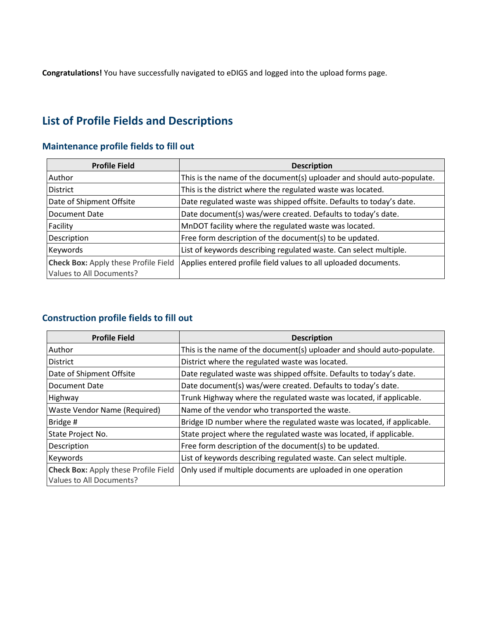**Congratulations!** You have successfully navigated to eDIGS and logged into the upload forms page.

## <span id="page-3-0"></span>**List of Profile Fields and Descriptions**

## **Maintenance profile fields to fill out**

| <b>Profile Field</b>                                                    | <b>Description</b>                                                     |
|-------------------------------------------------------------------------|------------------------------------------------------------------------|
| Author                                                                  | This is the name of the document(s) uploader and should auto-populate. |
| <b>District</b>                                                         | This is the district where the regulated waste was located.            |
| Date of Shipment Offsite                                                | Date regulated waste was shipped offsite. Defaults to today's date.    |
| Document Date                                                           | Date document(s) was/were created. Defaults to today's date.           |
| Facility                                                                | MnDOT facility where the regulated waste was located.                  |
| Description                                                             | Free form description of the document(s) to be updated.                |
| Keywords                                                                | List of keywords describing regulated waste. Can select multiple.      |
| <b>Check Box: Apply these Profile Field</b><br>Values to All Documents? | Applies entered profile field values to all uploaded documents.        |

## **Construction profile fields to fill out**

| <b>Profile Field</b>                                                    | <b>Description</b>                                                     |
|-------------------------------------------------------------------------|------------------------------------------------------------------------|
| <b>Author</b>                                                           | This is the name of the document(s) uploader and should auto-populate. |
| <b>District</b>                                                         | District where the regulated waste was located.                        |
| Date of Shipment Offsite                                                | Date regulated waste was shipped offsite. Defaults to today's date.    |
| Document Date                                                           | Date document(s) was/were created. Defaults to today's date.           |
| Highway                                                                 | Trunk Highway where the regulated waste was located, if applicable.    |
| Waste Vendor Name (Required)                                            | Name of the vendor who transported the waste.                          |
| Bridge #                                                                | Bridge ID number where the regulated waste was located, if applicable. |
| State Project No.                                                       | State project where the regulated waste was located, if applicable.    |
| Description                                                             | Free form description of the document(s) to be updated.                |
| Keywords                                                                | List of keywords describing regulated waste. Can select multiple.      |
| <b>Check Box: Apply these Profile Field</b><br>Values to All Documents? | Only used if multiple documents are uploaded in one operation          |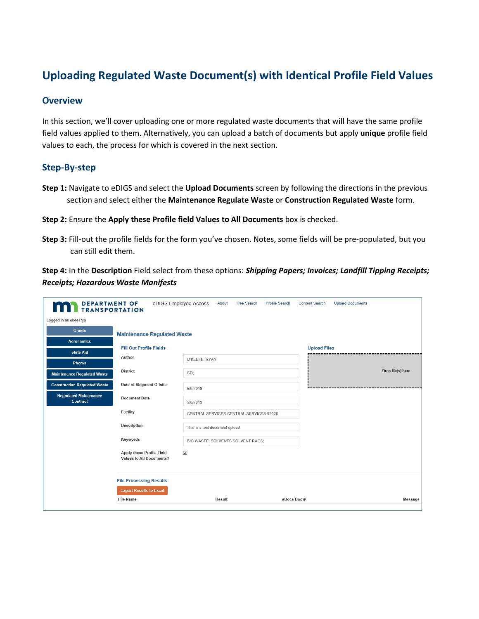## <span id="page-4-0"></span>**Uploading Regulated Waste Document(s) with Identical Profile Field Values**

#### **Overview**

In this section, we'll cover uploading one or more regulated waste documents that will have the same profile field values applied to them. Alternatively, you can upload a batch of documents but apply **unique** profile field values to each, the process for which is covered in the next section.

### **Step-By-step**

- **Step 1:** Navigate to eDIGS and select the **Upload Documents** screen by following the directions in the previous section and select either the **Maintenance Regulate Waste** or **Construction Regulated Waste** form.
- **Step 2:** Ensure the **Apply these Profile field Values to All Documents** box is checked.
- **Step 3:** Fill-out the profile fields for the form you've chosen. Notes, some fields will be pre-populated, but you can still edit them.

**Step 4:** In the **Description** Field select from these options: *Shipping Papers; Invoices; Landfill Tipping Receipts; Receipts; Hazardous Waste Manifests*

| <b>DEPARTMENT OF<br/>TRANSPORTATION</b>   |                                                              | eDIGS Employee Access<br>About          | <b>Tree Search</b> | <b>Profile Search</b> | <b>Content Search</b> | <b>Upload Documents</b> |                    |
|-------------------------------------------|--------------------------------------------------------------|-----------------------------------------|--------------------|-----------------------|-----------------------|-------------------------|--------------------|
| Logged in as okee1rya                     |                                                              |                                         |                    |                       |                       |                         |                    |
| <b>Grants</b>                             | <b>Maintenance Regulated Waste</b>                           |                                         |                    |                       |                       |                         |                    |
| <b>Aeronautics</b>                        |                                                              |                                         |                    |                       |                       |                         |                    |
| <b>State Aid</b>                          | <b>Fill Out Profile Fields</b>                               |                                         |                    |                       | <b>Upload Files</b>   |                         |                    |
| <b>Photos</b>                             | Author                                                       | O'KEEFE, RYAN                           |                    |                       |                       |                         |                    |
| <b>Maintenance Regulated Waste</b>        | <b>District</b>                                              | CO;                                     |                    |                       |                       |                         | Drop file(s) here. |
| <b>Construction Regulated Waste</b>       | Date of Shipment Offsite                                     | 5/8/2019                                |                    |                       |                       |                         |                    |
| <b>Negotiated Maintenance</b><br>Contract | <b>Document Date</b>                                         | 5/8/2019                                |                    |                       |                       |                         |                    |
|                                           | Facility                                                     | CENTRAL SERVICES CENTRAL SERVICES 92026 |                    |                       |                       |                         |                    |
|                                           | Description                                                  | This is a test document upload          |                    |                       |                       |                         |                    |
|                                           | Keywords                                                     | BIO WASTE: SOLVENTS SOLVENT RAGS:       |                    |                       |                       |                         |                    |
|                                           | Apply these Profile Field<br><b>Values to All Documents?</b> | $\blacktriangledown$                    |                    |                       |                       |                         |                    |
|                                           | <b>File Processing Results:</b>                              |                                         |                    |                       |                       |                         |                    |
|                                           | <b>Export Results to Excel</b>                               |                                         |                    |                       |                       |                         |                    |
|                                           | <b>File Name</b>                                             | Result                                  |                    | eDocs Doc#            |                       |                         | <b>Message</b>     |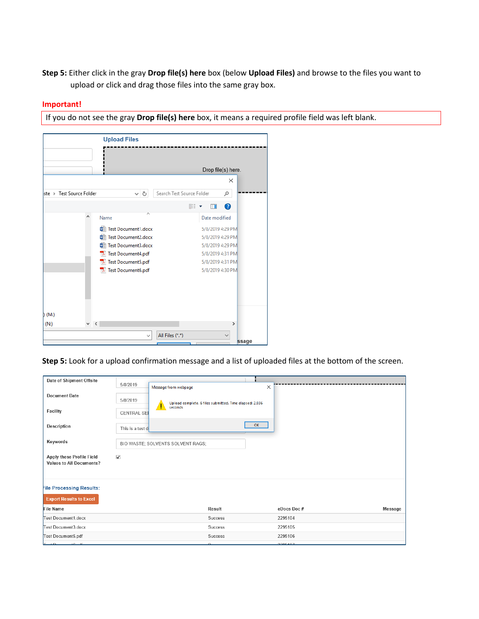**Step 5:** Either click in the gray **Drop file(s) here** box (below **Upload Files)** and browse to the files you want to upload or click and drag those files into the same gray box.

#### **Important!**

If you do not see the gray **Drop file(s) here** box, it means a required profile field was left blank.



**Step 5:** Look for a upload confirmation message and a list of uploaded files at the bottom of the screen.

| Date of Shipment Offsite                                     | 5/8/2019                          | Message from webpage                                    | $\times$ |                              |
|--------------------------------------------------------------|-----------------------------------|---------------------------------------------------------|----------|------------------------------|
| <b>Document Date</b>                                         | 5/8/2019                          | Upload complete. 6 files submitted. Time elapsed: 2.936 |          |                              |
| Facility                                                     | <b>CENTRAL SER</b>                | seconds                                                 |          |                              |
| Description                                                  | This is a test d                  |                                                         | OK       |                              |
| Keywords                                                     | BIO WASTE; SOLVENTS SOLVENT RAGS; |                                                         |          |                              |
| Apply these Profile Field<br><b>Values to All Documents?</b> | $\checkmark$                      |                                                         |          |                              |
| <b>File Processing Results:</b>                              |                                   |                                                         |          |                              |
| <b>Export Results to Excel</b>                               |                                   |                                                         |          |                              |
| <b>File Name</b>                                             |                                   | Result                                                  |          | eDocs Doc#<br><b>Message</b> |
| <b>Test Document1.docx</b>                                   |                                   | Success                                                 |          | 2295104                      |
| Test Document3.docx                                          |                                   | Success                                                 |          | 2295105                      |
| Test Document5.pdf                                           |                                   | Success                                                 |          | 2295106                      |
| Toot Dogument Code                                           |                                   | $C_{IIQQ}$                                              |          | 2205407                      |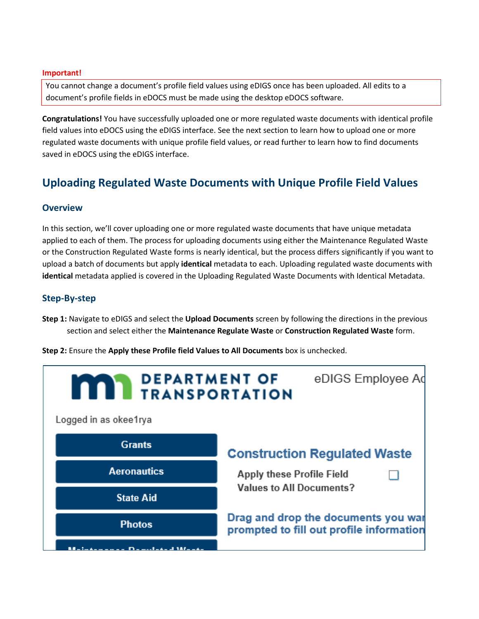#### **Important!**

You cannot change a document's profile field values using eDIGS once has been uploaded. All edits to a document's profile fields in eDOCS must be made using the desktop eDOCS software.

**Congratulations!** You have successfully uploaded one or more regulated waste documents with identical profile field values into eDOCS using the eDIGS interface. See the next section to learn how to upload one or more regulated waste documents with unique profile field values, or read further to learn how to find documents saved in eDOCS using the eDIGS interface.

## <span id="page-6-0"></span>**Uploading Regulated Waste Documents with Unique Profile Field Values**

### **Overview**

In this section, we'll cover uploading one or more regulated waste documents that have unique metadata applied to each of them. The process for uploading documents using either the Maintenance Regulated Waste or the Construction Regulated Waste forms is nearly identical, but the process differs significantly if you want to upload a batch of documents but apply **identical** metadata to each. Uploading regulated waste documents with **identical** metadata applied is covered in the Uploading Regulated Waste Documents with Identical Metadata.

### **Step-By-step**

- **Step 1:** Navigate to eDIGS and select the **Upload Documents** screen by following the directions in the previous section and select either the **Maintenance Regulate Waste** or **Construction Regulated Waste** form.
- **Step 2:** Ensure the **Apply these Profile field Values to All Documents** box is unchecked.

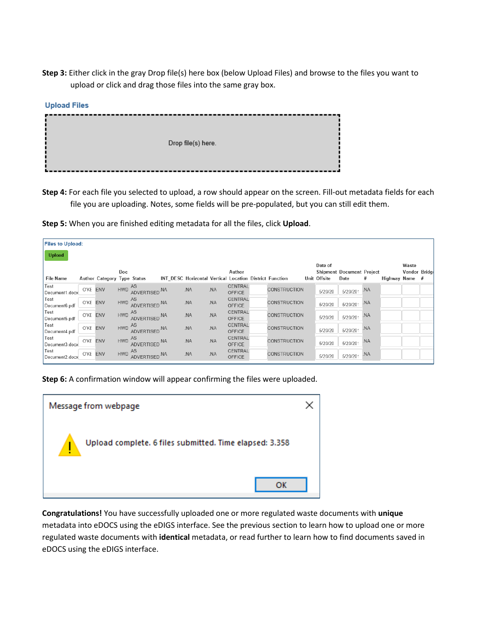**Step 3:** Either click in the gray Drop file(s) here box (below Upload Files) and browse to the files you want to upload or click and drag those files into the same gray box.

| <b>Upload Files</b> |                    |
|---------------------|--------------------|
|                     | Drop file(s) here. |

**Step 4:** For each file you selected to upload, a row should appear on the screen. Fill-out metadata fields for each file you are uploading. Notes, some fields will be pre-populated, but you can still edit them.

**Step 5:** When you are finished editing metadata for all the files, click **Upload**.

| <b>Files to Upload:</b>                                         |          |          |      |                         |         |     |                          |                                                                                                  |         |                                  |     |                |               |  |
|-----------------------------------------------------------------|----------|----------|------|-------------------------|---------|-----|--------------------------|--------------------------------------------------------------------------------------------------|---------|----------------------------------|-----|----------------|---------------|--|
| <b>Upload</b>                                                   |          |          |      |                         |         |     |                          |                                                                                                  | Date of |                                  |     |                | Waste         |  |
|                                                                 |          |          | Doc. |                         |         |     | Author                   |                                                                                                  |         | <b>Shipment Document Project</b> |     |                | Vendor Bridge |  |
| <b>File Name</b>                                                |          |          |      |                         |         |     |                          | Author Category Type Status INT DESC Horizontal Vertical Location District Function Unit Offsite |         | Date                             | #   | Highway Name # |               |  |
| Test<br>Test<br>Document1.docx O'KE ENV HWD ADVERTISED.NA MA MA |          |          |      |                         |         |     | CENTRAL<br>OFFICE        | <b>CONSTRUCTION</b>                                                                              | 5/20/20 | 5/20/201 .NA                     |     |                |               |  |
| Test<br>Test<br>Document6.pdf O'KE ENV HWD ADVERTISED.NA        |          |          |      |                         | $N_A$   | .NA | CENTRAL<br><b>OFFICE</b> | <b>CONSTRUCTION</b>                                                                              | 5/20/20 | 5/20/201                         | .NA |                |               |  |
| Test<br>Document5.pdf                                           |          | O'KE ENV |      | HWD AS ADVERTISED. NA   | .<br>NA | NA. | CENTRAL<br><b>OFFICE</b> | <b>CONSTRUCTION</b>                                                                              | 5/20/20 | 5/20/201                         | .NA |                |               |  |
| Test<br>Document4.pdf                                           | O'KE ENV |          |      | HWD AS<br>ADVERTISED.NA | .<br>NA | NA. | CENTRAL<br><b>OFFICE</b> | <b>CONSTRUCTION</b>                                                                              | 5/20/20 | 5/20/201                         | .NA |                |               |  |
| Test<br>Document3.docx                                          | O'KE ENV |          |      | HWD AS ADVERTISED. NA   | .NA     | .NA | CENTRAL<br>OFFICE        | <b>CONSTRUCTION</b>                                                                              | 5/20/20 | 5/20/201                         | .NA |                |               |  |
| Test<br>Document2.docx O'KE ENV                                 |          |          |      | HWD AS ADVERTISED. NA   | .NA     | .NA | CENTRAL<br>OFFICE        | <b>CONSTRUCTION</b>                                                                              | 5/20/20 | 5/20/201 .NA                     |     |                |               |  |

**Step 6:** A confirmation window will appear confirming the files were uploaded.



**Congratulations!** You have successfully uploaded one or more regulated waste documents with **unique** metadata into eDOCS using the eDIGS interface. See the previous section to learn how to upload one or more regulated waste documents with **identical** metadata, or read further to learn how to find documents saved in eDOCS using the eDIGS interface.